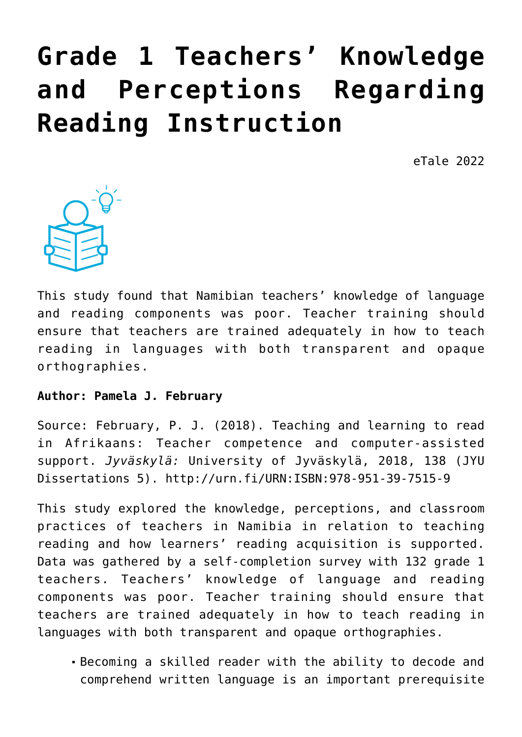# **[Grade 1 Teachers' Knowledge](https://dev.taleafrica.com/2020/10/15/grade-1-teachers-knowledge-and-perceptions-regarding-reading-instruction/) [and Perceptions Regarding](https://dev.taleafrica.com/2020/10/15/grade-1-teachers-knowledge-and-perceptions-regarding-reading-instruction/) [Reading Instruction](https://dev.taleafrica.com/2020/10/15/grade-1-teachers-knowledge-and-perceptions-regarding-reading-instruction/)**

eTale 2022



This study found that Namibian teachers' knowledge of language and reading components was poor. Teacher training should ensure that teachers are trained adequately in how to teach reading in languages with both transparent and opaque orthographies.

#### **Author: Pamela J. February**

Source: February, P. J. (2018). Teaching and learning to read in Afrikaans: Teacher competence and computer-assisted support. *Jyväskylä:* University of Jyväskylä, 2018, 138 (JYU Dissertations 5). http://urn.fi/URN:ISBN:978-951-39-7515-9

This study explored the knowledge, perceptions, and classroom practices of teachers in Namibia in relation to teaching reading and how learners' reading acquisition is supported. Data was gathered by a self-completion survey with 132 grade 1 teachers. Teachers' knowledge of language and reading components was poor. Teacher training should ensure that teachers are trained adequately in how to teach reading in languages with both transparent and opaque orthographies.

Becoming a skilled reader with the ability to decode and comprehend written language is an important prerequisite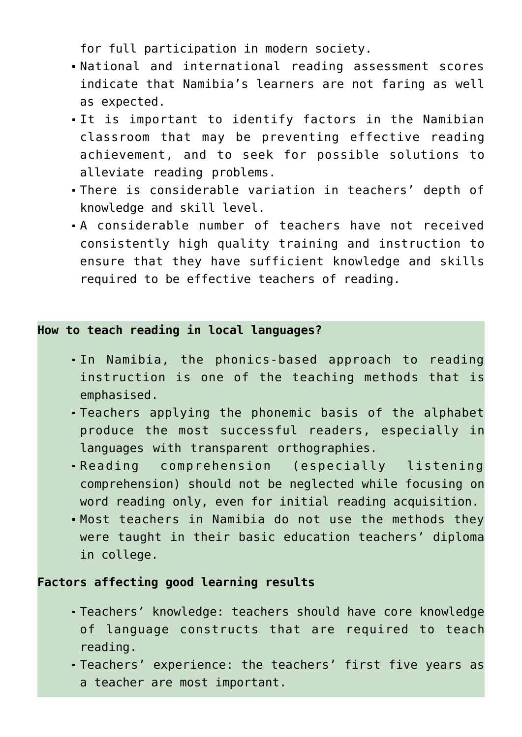for full participation in modern society.

- National and international reading assessment scores indicate that Namibia's learners are not faring as well as expected.
- It is important to identify factors in the Namibian classroom that may be preventing effective reading achievement, and to seek for possible solutions to alleviate reading problems.
- There is considerable variation in teachers' depth of knowledge and skill level.
- A considerable number of teachers have not received consistently high quality training and instruction to ensure that they have sufficient knowledge and skills required to be effective teachers of reading.

#### **How to teach reading in local languages?**

- In Namibia, the phonics-based approach to reading instruction is one of the teaching methods that is emphasised.
- Teachers applying the phonemic basis of the alphabet produce the most successful readers, especially in languages with transparent orthographies.
- Reading comprehension (especially listening comprehension) should not be neglected while focusing on word reading only, even for initial reading acquisition.
- Most teachers in Namibia do not use the methods they were taught in their basic education teachers' diploma in college.

## **Factors affecting good learning results**

- Teachers' knowledge: teachers should have core knowledge of language constructs that are required to teach reading.
- Teachers' experience: the teachers' first five years as a teacher are most important.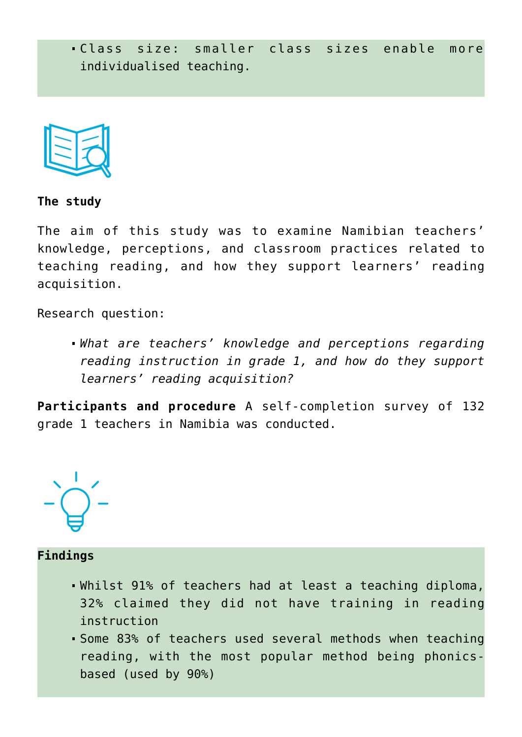



**The study**

The aim of this study was to examine Namibian teachers' knowledge, perceptions, and classroom practices related to teaching reading, and how they support learners' reading acquisition.

Research question:

*What are teachers' knowledge and perceptions regarding reading instruction in grade 1, and how do they support learners' reading acquisition?*

**Participants and procedure** A self-completion survey of 132 grade 1 teachers in Namibia was conducted.



# **Findings**

- Whilst 91% of teachers had at least a teaching diploma, 32% claimed they did not have training in reading instruction
- Some 83% of teachers used several methods when teaching reading, with the most popular method being phonicsbased (used by 90%)